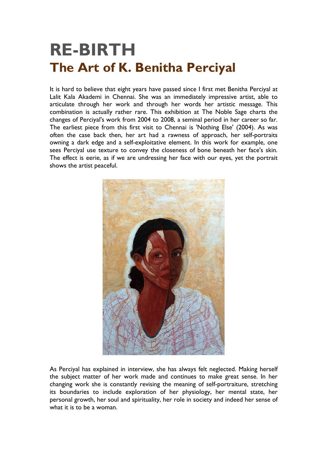## **RE-BIRTH The Art of K. Benitha Perciyal**

It is hard to believe that eight years have passed since I first met Benitha Perciyal at Lalit Kala Akademi in Chennai. She was an immediately impressive artist, able to articulate through her work and through her words her artistic message. This combination is actually rather rare. This exhibition at The Noble Sage charts the changes of Perciyal's work from 2004 to 2008, a seminal period in her career so far. The earliest piece from this first visit to Chennai is 'Nothing Else' (2004). As was often the case back then, her art had a rawness of approach, her self-portraits owning a dark edge and a self-exploitative element. In this work for example, one sees Perciyal use texture to convey the closeness of bone beneath her face's skin. The effect is eerie, as if we are undressing her face with our eyes, yet the portrait shows the artist peaceful.



As Perciyal has explained in interview, she has always felt neglected. Making herself the subject matter of her work made and continues to make great sense. In her changing work she is constantly revising the meaning of self-portraiture, stretching its boundaries to include exploration of her physiology, her mental state, her personal growth, her soul and spirituality, her role in society and indeed her sense of what it is to be a woman.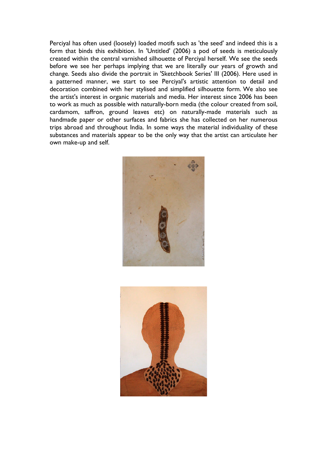Perciyal has often used (loosely) loaded motifs such as 'the seed' and indeed this is a form that binds this exhibition. In 'Untitled' (2006) a pod of seeds is meticulously created within the central varnished silhouette of Perciyal herself. We see the seeds before we see her perhaps implying that we are literally our years of growth and change. Seeds also divide the portrait in 'Sketchbook Series' III (2006). Here used in a patterned manner, we start to see Perciyal's artistic attention to detail and decoration combined with her stylised and simplified silhouette form. We also see the artist's interest in organic materials and media. Her interest since 2006 has been to work as much as possible with naturally-born media (the colour created from soil, cardamom, saffron, ground leaves etc) on naturally-made materials such as handmade paper or other surfaces and fabrics she has collected on her numerous trips abroad and throughout India. In some ways the material individuality of these substances and materials appear to be the only way that the artist can articulate her own make-up and self.



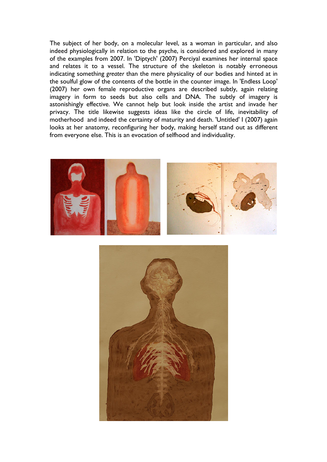The subject of her body, on a molecular level, as a woman in particular, and also indeed physiologically in relation to the psyche, is considered and explored in many of the examples from 2007. In 'Diptych' (2007) Perciyal examines her internal space and relates it to a vessel. The structure of the skeleton is notably erroneous indicating something *greater* than the mere physicality of our bodies and hinted at in the soulful glow of the contents of the bottle in the counter image. In 'Endless Loop' (2007) her own female reproductive organs are described subtly, again relating imagery in form to seeds but also cells and DNA. The subtly of imagery is astonishingly effective. We cannot help but look inside the artist and invade her privacy. The title likewise suggests ideas like the circle of life, inevitability of motherhood and indeed the certainty of maturity and death. 'Untitled' I (2007) again looks at her anatomy, reconfiguring her body, making herself stand out as different from everyone else. This is an evocation of selfhood and individuality.



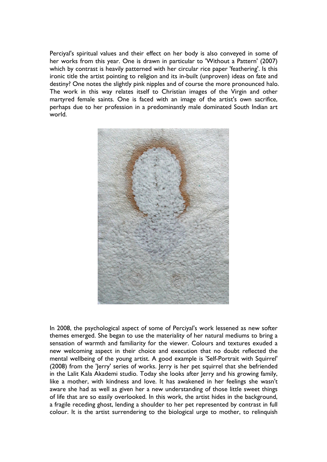Perciyal's spiritual values and their effect on her body is also conveyed in some of her works from this year. One is drawn in particular to 'Without a Pattern' (2007) which by contrast is heavily patterned with her circular rice paper 'feathering'. Is this ironic title the artist pointing to religion and its in-built (unproven) ideas on fate and destiny? One notes the slightly pink nipples and of course the more pronounced halo. The work in this way relates itself to Christian images of the Virgin and other martyred female saints. One is faced with an image of the artist's own sacrifice, perhaps due to her profession in a predominantly male dominated South Indian art world.



In 2008, the psychological aspect of some of Perciyal's work lessened as new softer themes emerged. She began to use the materiality of her natural mediums to bring a sensation of warmth and familiarity for the viewer. Colours and textures exuded a new welcoming aspect in their choice and execution that no doubt reflected the mental wellbeing of the young artist. A good example is 'Self-Portrait with Squirrel' (2008) from the 'Jerry' series of works. Jerry is her pet squirrel that she befriended in the Lalit Kala Akademi studio. Today she looks after Jerry and his growing family, like a mother, with kindness and love. It has awakened in her feelings she wasn't aware she had as well as given her a new understanding of those little sweet things of life that are so easily overlooked. In this work, the artist hides in the background, a fragile receding ghost, lending a shoulder to her pet represented by contrast in full colour. It is the artist surrendering to the biological urge to mother, to relinquish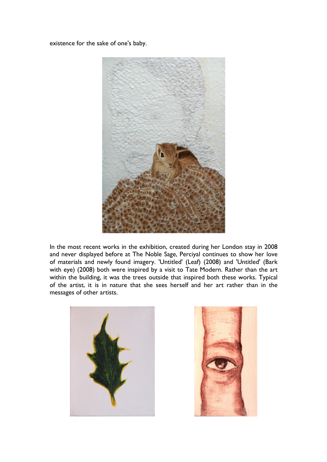existence for the sake of one's baby.



In the most recent works in the exhibition, created during her London stay in 2008 and never displayed before at The Noble Sage, Perciyal continues to show her love of materials and newly found imagery. 'Untitled' (Leaf) (2008) and 'Untitled' (Bark with eye) (2008) both were inspired by a visit to Tate Modern. Rather than the art within the building, it was the trees outside that inspired both these works. Typical of the artist, it is in nature that she sees herself and her art rather than in the messages of other artists.